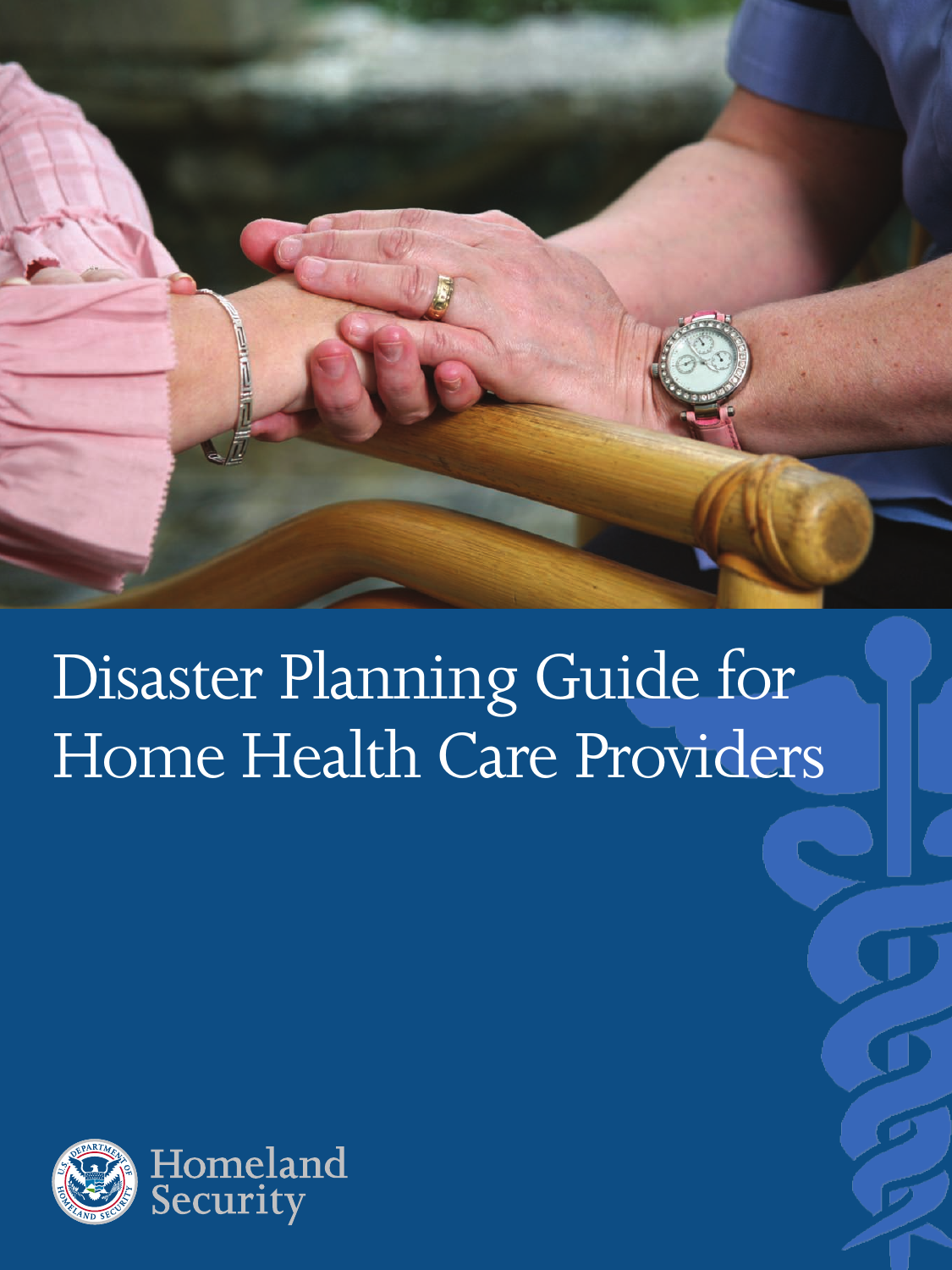

# Disaster Planning Guide for Home Health Care Providers

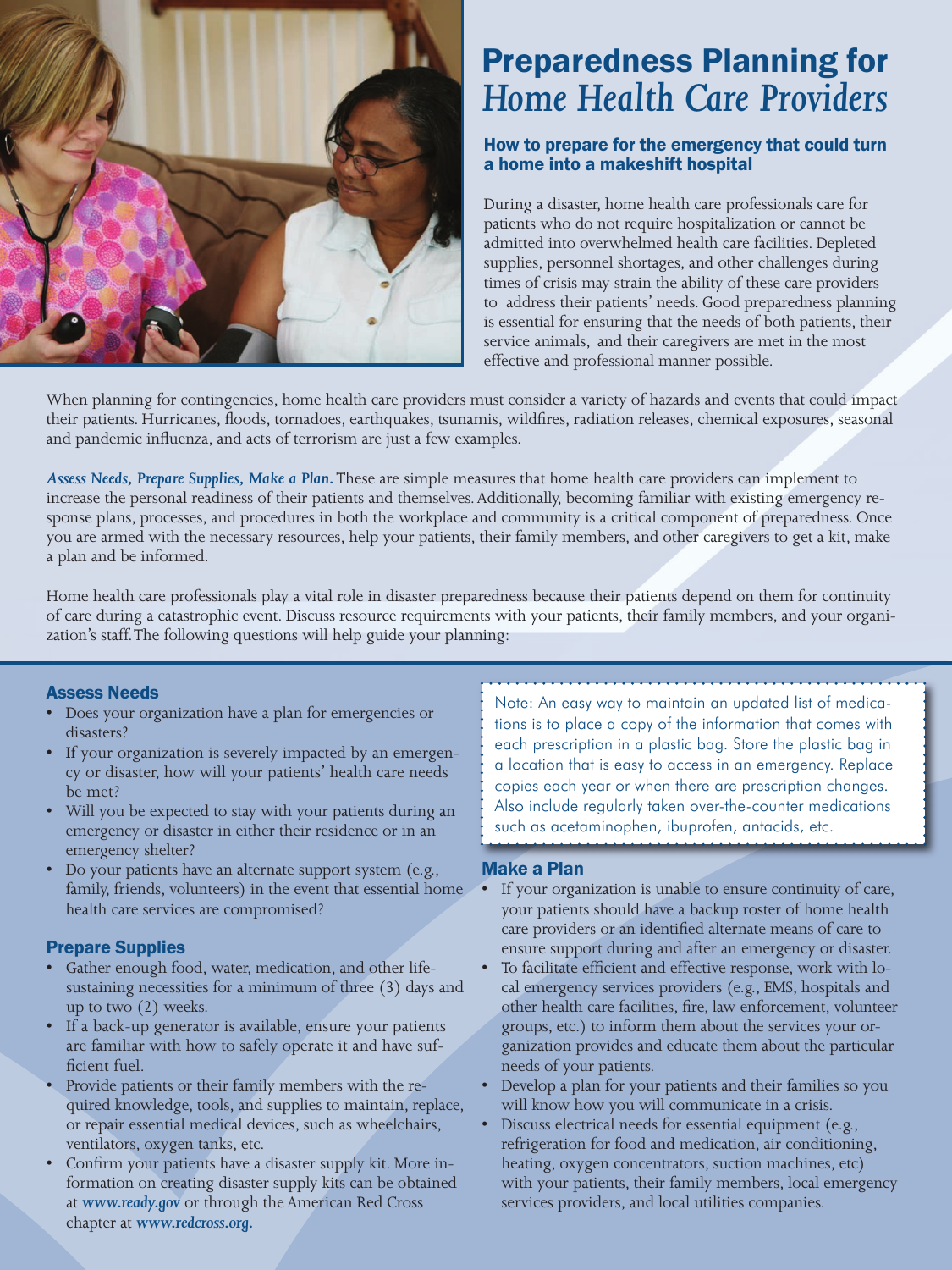

### Preparedness Planning for *Home Health Care Providers*

#### How to prepare for the emergency that could turn a home into a makeshift hospital

During a disaster, home health care professionals care for patients who do not require hospitalization or cannot be admitted into overwhelmed health care facilities. Depleted supplies, personnel shortages, and other challenges during times of crisis may strain the ability of these care providers to address their patients' needs. Good preparedness planning is essential for ensuring that the needs of both patients, their service animals, and their caregivers are met in the most effective and professional manner possible.

When planning for contingencies, home health care providers must consider a variety of hazards and events that could impact their patients. Hurricanes, floods, tornadoes, earthquakes, tsunamis, wildfires, radiation releases, chemical exposures, seasonal and pandemic influenza, and acts of terrorism are just a few examples.

*Assess Needs, Prepare Supplies, Make a Plan.* These are simple measures that home health care providers can implement to increase the personal readiness of their patients and themselves. Additionally, becoming familiar with existing emergency response plans, processes, and procedures in both the workplace and community is a critical component of preparedness. Once you are armed with the necessary resources, help your patients, their family members, and other caregivers to get a kit, make a plan and be informed.

Home health care professionals play a vital role in disaster preparedness because their patients depend on them for continuity of care during a catastrophic event. Discuss resource requirements with your patients, their family members, and your organization's staff. The following questions will help guide your planning:

#### Assess Needs

- Does your organization have a plan for emergencies or disasters? •
- If your organization is severely impacted by an emergency or disaster, how will your patients' health care needs be met?
- Will you be expected to stay with your patients during an emergency or disaster in either their residence or in an emergency shelter? •
- Do your patients have an alternate support system (e.g., family, friends, volunteers) in the event that essential home health care services are compromised?

#### Prepare Supplies

- Gather enough food, water, medication, and other lifesustaining necessities for a minimum of three (3) days and up to two (2) weeks. •
- If a back-up generator is available, ensure your patients are familiar with how to safely operate it and have sufficient fuel.
- Provide patients or their family members with the required knowledge, tools, and supplies to maintain, replace, or repair essential medical devices, such as wheelchairs, ventilators, oxygen tanks, etc. •
- Confirm your patients have a disaster supply kit. More information on creating disaster supply kits can be obtained at *www.ready.gov* or through the American Red Cross chapter at *www.redcross.org.*  •

Note: An easy way to maintain an updated list of medications is to place a copy of the information that comes with each prescription in a plastic bag. Store the plastic bag in a location that is easy to access in an emergency. Replace copies each year or when there are prescription changes. Also include regularly taken over-the-counter medications such as acetaminophen, ibuprofen, antacids, etc.

#### Make a Plan

- If your organization is unable to ensure continuity of care, your patients should have a backup roster of home health care providers or an identified alternate means of care to ensure support during and after an emergency or disaster. •
- To facilitate efficient and effective response, work with local emergency services providers (e.g., EMS, hospitals and other health care facilities, fire, law enforcement, volunteer groups, etc.) to inform them about the services your organization provides and educate them about the particular needs of your patients. •
- Develop a plan for your patients and their families so you will know how you will communicate in a crisis. •
- Discuss electrical needs for essential equipment (e.g., refrigeration for food and medication, air conditioning, heating, oxygen concentrators, suction machines, etc) with your patients, their family members, local emergency services providers, and local utilities companies. •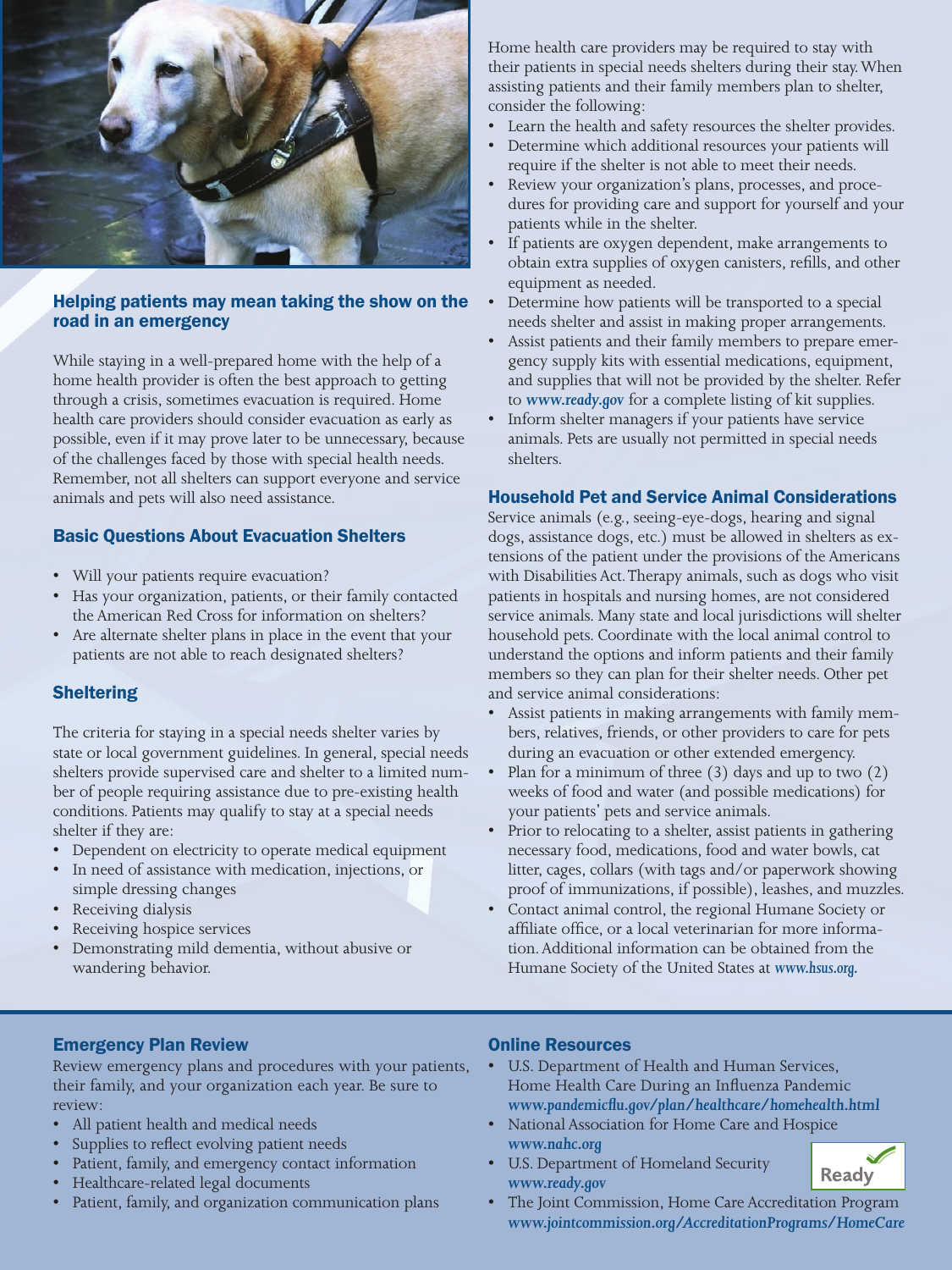

#### Helping patients may mean taking the show on the road in an emergency

While staying in a well-prepared home with the help of a home health provider is often the best approach to getting through a crisis, sometimes evacuation is required. Home health care providers should consider evacuation as early as possible, even if it may prove later to be unnecessary, because of the challenges faced by those with special health needs. Remember, not all shelters can support everyone and service animals and pets will also need assistance.

#### Basic Questions About Evacuation Shelters

- Will your patients require evacuation?
- Has your organization, patients, or their family contacted the American Red Cross for information on shelters?
- Are alternate shelter plans in place in the event that your patients are not able to reach designated shelters?

#### **Sheltering**

The criteria for staying in a special needs shelter varies by state or local government guidelines. In general, special needs shelters provide supervised care and shelter to a limited number of people requiring assistance due to pre-existing health conditions. Patients may qualify to stay at a special needs shelter if they are:

- Dependent on electricity to operate medical equipment
- In need of assistance with medication, injections, or simple dressing changes
- Receiving dialysis
- Receiving hospice services
- Demonstrating mild dementia, without abusive or wandering behavior. •

Home health care providers may be required to stay with their patients in special needs shelters during their stay. When assisting patients and their family members plan to shelter, consider the following:

- Learn the health and safety resources the shelter provides. •
- Determine which additional resources your patients will require if the shelter is not able to meet their needs. •
- Review your organization's plans, processes, and procedures for providing care and support for yourself and your patients while in the shelter. •
- If patients are oxygen dependent, make arrangements to obtain extra supplies of oxygen canisters, refills, and other equipment as needed. •
- Determine how patients will be transported to a special needs shelter and assist in making proper arrangements. •
- Assist patients and their family members to prepare emer-• gency supply kits with essential medications, equipment, and supplies that will not be provided by the shelter. Refer to *www.ready.gov* for a complete listing of kit supplies.
- Inform shelter managers if your patients have service animals. Pets are usually not permitted in special needs shelters. •

#### Household Pet and Service Animal Considerations

Service animals (e.g., seeing-eye-dogs, hearing and signal dogs, assistance dogs, etc.) must be allowed in shelters as extensions of the patient under the provisions of the Americans with Disabilities Act. Therapy animals, such as dogs who visit patients in hospitals and nursing homes, are not considered service animals. Many state and local jurisdictions will shelter household pets. Coordinate with the local animal control to understand the options and inform patients and their family members so they can plan for their shelter needs. Other pet and service animal considerations:

- Assist patients in making arrangements with family mem-• bers, relatives, friends, or other providers to care for pets during an evacuation or other extended emergency.
- Plan for a minimum of three (3) days and up to two (2) weeks of food and water (and possible medications) for your patients' pets and service animals.
- Prior to relocating to a shelter, assist patients in gathering necessary food, medications, food and water bowls, cat litter, cages, collars (with tags and/or paperwork showing proof of immunizations, if possible), leashes, and muzzles. •
- Contact animal control, the regional Humane Society or affiliate office, or a local veterinarian for more information. Additional information can be obtained from the Humane Society of the United States at *www.hsus.org.*

#### Emergency Plan Review

Review emergency plans and procedures with your patients, their family, and your organization each year. Be sure to review:

- All patient health and medical needs •
- Supplies to reflect evolving patient needs
- Patient, family, and emergency contact information •
- Healthcare-related legal documents •
- Patient, family, and organization communication plans •

#### Online Resources

- U.S. Department of Health and Human Services, Home Health Care During an Influenza Pandemic *www.pandemicflu.gov/plan/healthcare/homehealth.html*  •
- National Association for Home Care and Hospice *www.nahc.org*  •
	- U.S. Department of Homeland Security *www.ready.gov*



The Joint Commission, Home Care Accreditation Program • *www.jointcommission.org/AccreditationPrograms/HomeCare*